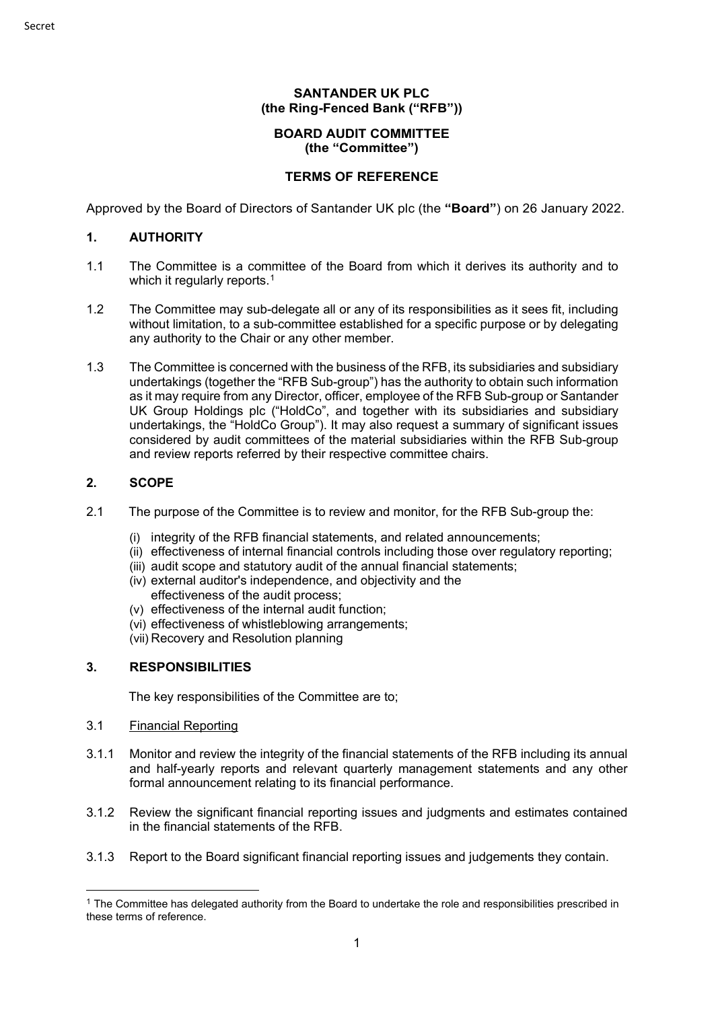## **BOARD AUDIT COMMITTEE (the "Committee")**

## **TERMS OF REFERENCE**

Approved by the Board of Directors of Santander UK plc (the **"Board"**) on 26 January 2022.

### **1. AUTHORITY**

- 1.1 The Committee is a committee of the Board from which it derives its authority and to which it regularly reports.<sup>[1](#page-0-0)</sup>
- 1.2 The Committee may sub-delegate all or any of its responsibilities as it sees fit, including without limitation, to a sub-committee established for a specific purpose or by delegating any authority to the Chair or any other member.
- 1.3 The Committee is concerned with the business of the RFB, its subsidiaries and subsidiary undertakings (together the "RFB Sub-group") has the authority to obtain such information as it may require from any Director, officer, employee of the RFB Sub-group or Santander UK Group Holdings plc ("HoldCo", and together with its subsidiaries and subsidiary undertakings, the "HoldCo Group"). It may also request a summary of significant issues considered by audit committees of the material subsidiaries within the RFB Sub-group and review reports referred by their respective committee chairs.

### **2. SCOPE**

- 2.1 The purpose of the Committee is to review and monitor, for the RFB Sub-group the:
	- (i) integrity of the RFB financial statements, and related announcements;
	- (ii) effectiveness of internal financial controls including those over regulatory reporting;
	- (iii) audit scope and statutory audit of the annual financial statements;
	- (iv) external auditor's independence, and objectivity and the effectiveness of the audit process;
	- (v) effectiveness of the internal audit function;
	- (vi) effectiveness of whistleblowing arrangements;
	- (vii) Recovery and Resolution planning

# **3. RESPONSIBILITIES**

The key responsibilities of the Committee are to;

- 3.1 Financial Reporting
- 3.1.1 Monitor and review the integrity of the financial statements of the RFB including its annual and half-yearly reports and relevant quarterly management statements and any other formal announcement relating to its financial performance.
- 3.1.2 Review the significant financial reporting issues and judgments and estimates contained in the financial statements of the RFB.
- 3.1.3 Report to the Board significant financial reporting issues and judgements they contain.

<span id="page-0-0"></span><sup>&</sup>lt;sup>1</sup> The Committee has delegated authority from the Board to undertake the role and responsibilities prescribed in these terms of reference.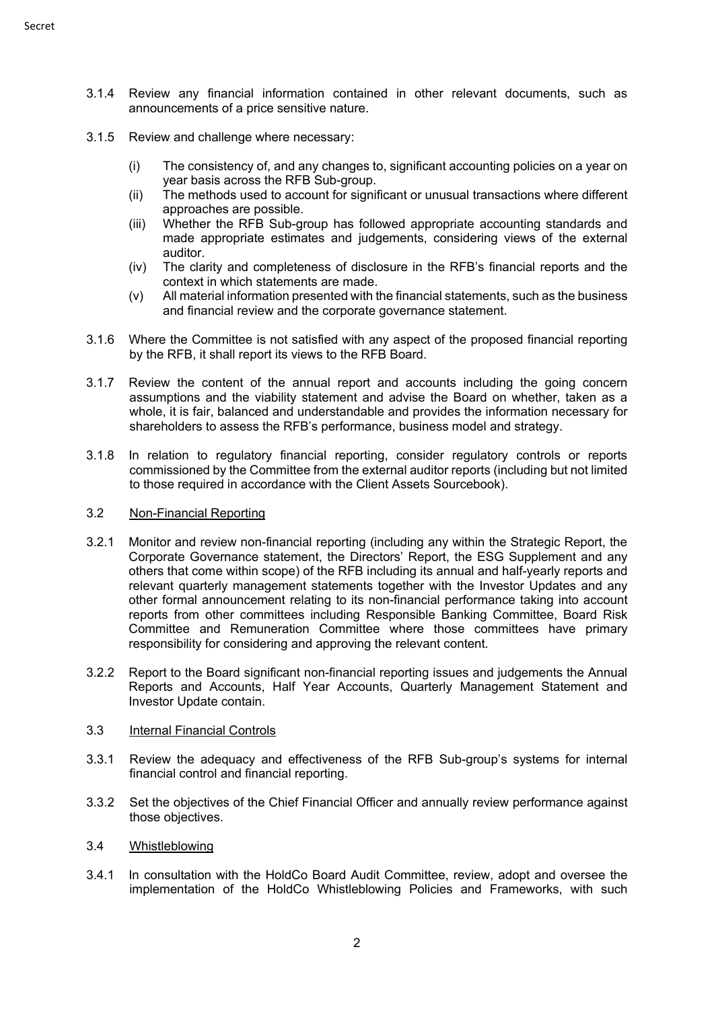- 3.1.4 Review any financial information contained in other relevant documents, such as announcements of a price sensitive nature.
- 3.1.5 Review and challenge where necessary:
	- (i) The consistency of, and any changes to, significant accounting policies on a year on year basis across the RFB Sub-group.
	- (ii) The methods used to account for significant or unusual transactions where different approaches are possible.
	- (iii) Whether the RFB Sub-group has followed appropriate accounting standards and made appropriate estimates and judgements, considering views of the external auditor.
	- (iv) The clarity and completeness of disclosure in the RFB's financial reports and the context in which statements are made.
	- (v) All material information presented with the financial statements, such as the business and financial review and the corporate governance statement.
- 3.1.6 Where the Committee is not satisfied with any aspect of the proposed financial reporting by the RFB, it shall report its views to the RFB Board.
- 3.1.7 Review the content of the annual report and accounts including the going concern assumptions and the viability statement and advise the Board on whether, taken as a whole, it is fair, balanced and understandable and provides the information necessary for shareholders to assess the RFB's performance, business model and strategy.
- 3.1.8 In relation to regulatory financial reporting, consider regulatory controls or reports commissioned by the Committee from the external auditor reports (including but not limited to those required in accordance with the Client Assets Sourcebook).

### 3.2 Non-Financial Reporting

- 3.2.1 Monitor and review non-financial reporting (including any within the Strategic Report, the Corporate Governance statement, the Directors' Report, the ESG Supplement and any others that come within scope) of the RFB including its annual and half-yearly reports and relevant quarterly management statements together with the Investor Updates and any other formal announcement relating to its non-financial performance taking into account reports from other committees including Responsible Banking Committee, Board Risk Committee and Remuneration Committee where those committees have primary responsibility for considering and approving the relevant content.
- 3.2.2 Report to the Board significant non-financial reporting issues and judgements the Annual Reports and Accounts, Half Year Accounts, Quarterly Management Statement and Investor Update contain.

#### 3.3 Internal Financial Controls

- 3.3.1 Review the adequacy and effectiveness of the RFB Sub-group's systems for internal financial control and financial reporting.
- 3.3.2 Set the objectives of the Chief Financial Officer and annually review performance against those objectives.

#### 3.4 Whistleblowing

3.4.1 In consultation with the HoldCo Board Audit Committee, review, adopt and oversee the implementation of the HoldCo Whistleblowing Policies and Frameworks, with such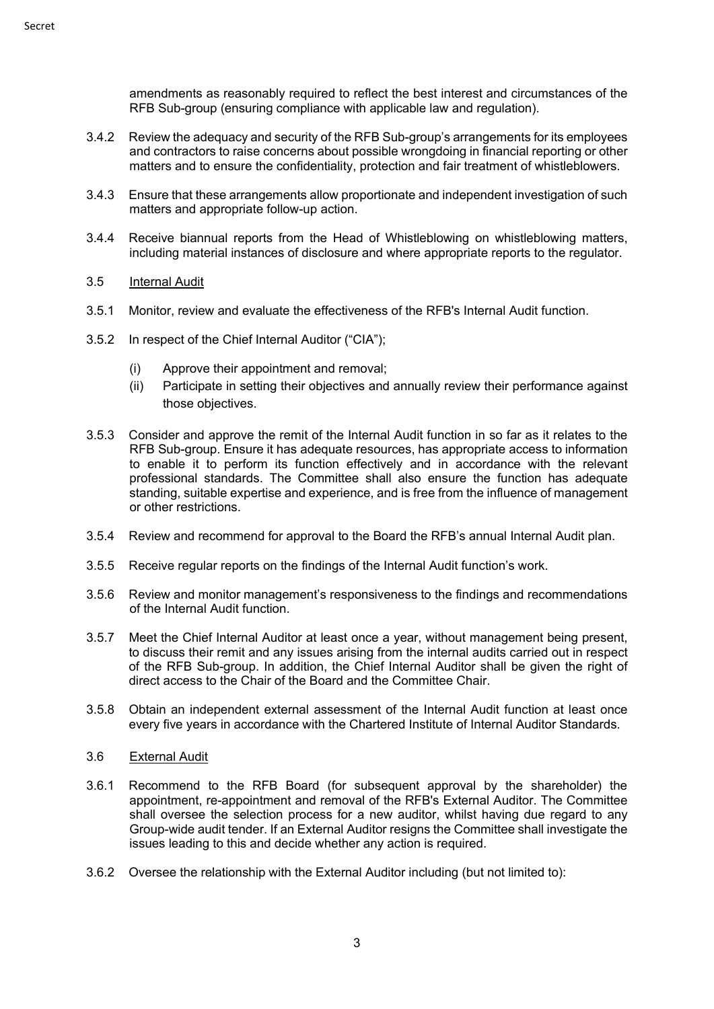amendments as reasonably required to reflect the best interest and circumstances of the RFB Sub-group (ensuring compliance with applicable law and regulation).

- 3.4.2 Review the adequacy and security of the RFB Sub-group's arrangements for its employees and contractors to raise concerns about possible wrongdoing in financial reporting or other matters and to ensure the confidentiality, protection and fair treatment of whistleblowers.
- 3.4.3 Ensure that these arrangements allow proportionate and independent investigation of such matters and appropriate follow-up action.
- 3.4.4 Receive biannual reports from the Head of Whistleblowing on whistleblowing matters, including material instances of disclosure and where appropriate reports to the regulator.
- 3.5 Internal Audit
- 3.5.1 Monitor, review and evaluate the effectiveness of the RFB's Internal Audit function.
- 3.5.2 In respect of the Chief Internal Auditor ("CIA");
	- (i) Approve their appointment and removal;
	- (ii) Participate in setting their objectives and annually review their performance against those objectives.
- 3.5.3 Consider and approve the remit of the Internal Audit function in so far as it relates to the RFB Sub-group. Ensure it has adequate resources, has appropriate access to information to enable it to perform its function effectively and in accordance with the relevant professional standards. The Committee shall also ensure the function has adequate standing, suitable expertise and experience, and is free from the influence of management or other restrictions.
- 3.5.4 Review and recommend for approval to the Board the RFB's annual Internal Audit plan.
- 3.5.5 Receive regular reports on the findings of the Internal Audit function's work.
- 3.5.6 Review and monitor management's responsiveness to the findings and recommendations of the Internal Audit function.
- 3.5.7 Meet the Chief Internal Auditor at least once a year, without management being present, to discuss their remit and any issues arising from the internal audits carried out in respect of the RFB Sub-group. In addition, the Chief Internal Auditor shall be given the right of direct access to the Chair of the Board and the Committee Chair.
- 3.5.8 Obtain an independent external assessment of the Internal Audit function at least once every five years in accordance with the Chartered Institute of Internal Auditor Standards.
- 3.6 External Audit
- 3.6.1 Recommend to the RFB Board (for subsequent approval by the shareholder) the appointment, re-appointment and removal of the RFB's External Auditor. The Committee shall oversee the selection process for a new auditor, whilst having due regard to any Group-wide audit tender. If an External Auditor resigns the Committee shall investigate the issues leading to this and decide whether any action is required.
- 3.6.2 Oversee the relationship with the External Auditor including (but not limited to):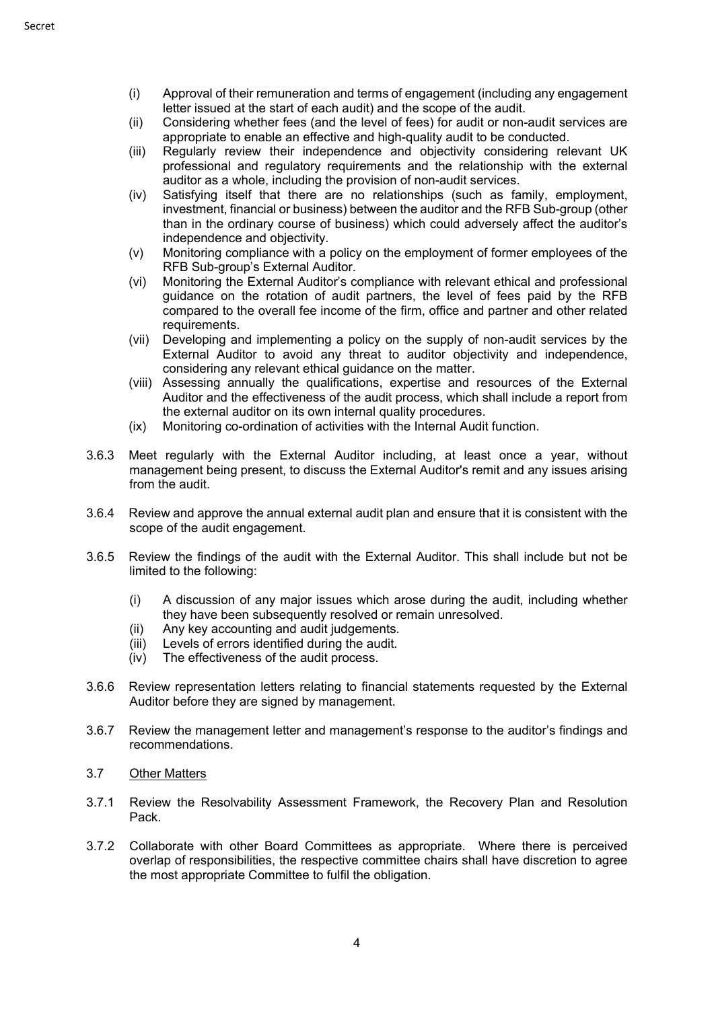- (i) Approval of their remuneration and terms of engagement (including any engagement letter issued at the start of each audit) and the scope of the audit.
- (ii) Considering whether fees (and the level of fees) for audit or non-audit services are appropriate to enable an effective and high-quality audit to be conducted.
- (iii) Regularly review their independence and objectivity considering relevant UK professional and regulatory requirements and the relationship with the external auditor as a whole, including the provision of non-audit services.
- (iv) Satisfying itself that there are no relationships (such as family, employment, investment, financial or business) between the auditor and the RFB Sub-group (other than in the ordinary course of business) which could adversely affect the auditor's independence and objectivity.
- (v) Monitoring compliance with a policy on the employment of former employees of the RFB Sub-group's External Auditor.
- (vi) Monitoring the External Auditor's compliance with relevant ethical and professional guidance on the rotation of audit partners, the level of fees paid by the RFB compared to the overall fee income of the firm, office and partner and other related requirements.
- (vii) Developing and implementing a policy on the supply of non-audit services by the External Auditor to avoid any threat to auditor objectivity and independence, considering any relevant ethical guidance on the matter.
- (viii) Assessing annually the qualifications, expertise and resources of the External Auditor and the effectiveness of the audit process, which shall include a report from the external auditor on its own internal quality procedures.
- (ix) Monitoring co-ordination of activities with the Internal Audit function.
- 3.6.3 Meet regularly with the External Auditor including, at least once a year, without management being present, to discuss the External Auditor's remit and any issues arising from the audit.
- 3.6.4 Review and approve the annual external audit plan and ensure that it is consistent with the scope of the audit engagement.
- 3.6.5 Review the findings of the audit with the External Auditor. This shall include but not be limited to the following:
	- (i) A discussion of any major issues which arose during the audit, including whether they have been subsequently resolved or remain unresolved.
	- (ii) Any key accounting and audit judgements.
	- (iii) Levels of errors identified during the audit.
	- (iv) The effectiveness of the audit process.
- 3.6.6 Review representation letters relating to financial statements requested by the External Auditor before they are signed by management.
- 3.6.7 Review the management letter and management's response to the auditor's findings and recommendations.
- 3.7 Other Matters
- 3.7.1 Review the Resolvability Assessment Framework, the Recovery Plan and Resolution Pack.
- 3.7.2 Collaborate with other Board Committees as appropriate. Where there is perceived overlap of responsibilities, the respective committee chairs shall have discretion to agree the most appropriate Committee to fulfil the obligation.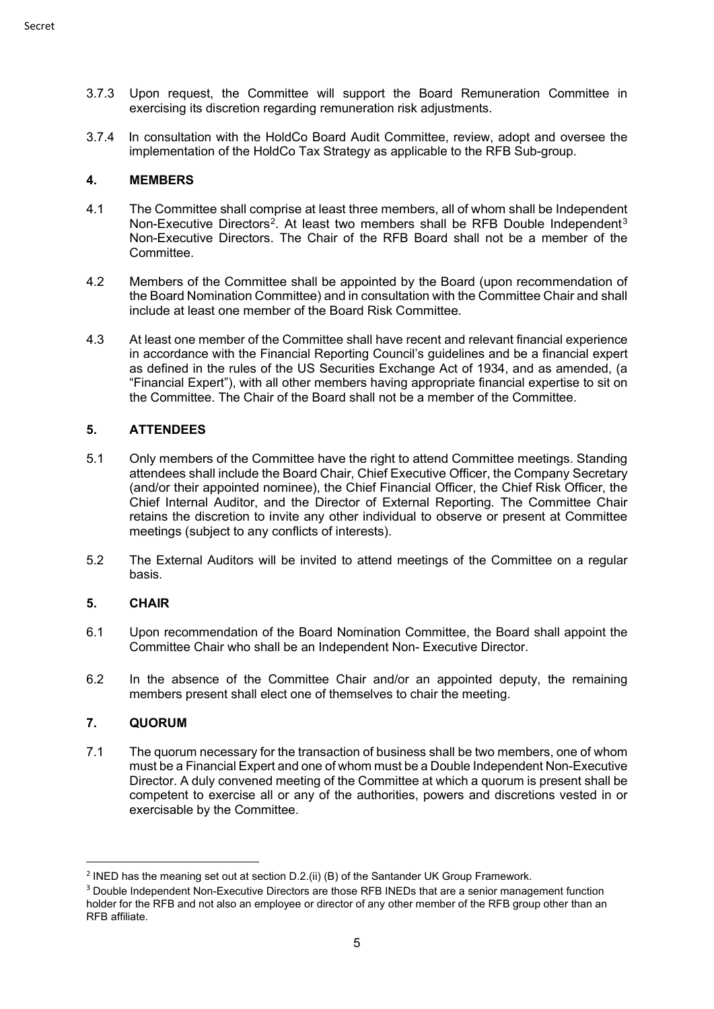- 3.7.3 Upon request, the Committee will support the Board Remuneration Committee in exercising its discretion regarding remuneration risk adjustments.
- 3.7.4 In consultation with the HoldCo Board Audit Committee, review, adopt and oversee the implementation of the HoldCo Tax Strategy as applicable to the RFB Sub-group.

### **4. MEMBERS**

- 4.1 The Committee shall comprise at least three members, all of whom shall be Independent Non-Executive Directors<sup>2</sup>. At least two members shall be RFB Double Independent<sup>[3](#page-4-1)</sup> Non-Executive Directors. The Chair of the RFB Board shall not be a member of the Committee.
- 4.2 Members of the Committee shall be appointed by the Board (upon recommendation of the Board Nomination Committee) and in consultation with the Committee Chair and shall include at least one member of the Board Risk Committee.
- 4.3 At least one member of the Committee shall have recent and relevant financial experience in accordance with the Financial Reporting Council's guidelines and be a financial expert as defined in the rules of the US Securities Exchange Act of 1934, and as amended, (a "Financial Expert"), with all other members having appropriate financial expertise to sit on the Committee. The Chair of the Board shall not be a member of the Committee.

## **5. ATTENDEES**

- 5.1 Only members of the Committee have the right to attend Committee meetings. Standing attendees shall include the Board Chair, Chief Executive Officer, the Company Secretary (and/or their appointed nominee), the Chief Financial Officer, the Chief Risk Officer, the Chief Internal Auditor, and the Director of External Reporting. The Committee Chair retains the discretion to invite any other individual to observe or present at Committee meetings (subject to any conflicts of interests).
- 5.2 The External Auditors will be invited to attend meetings of the Committee on a regular basis.

#### **5. CHAIR**

- 6.1 Upon recommendation of the Board Nomination Committee, the Board shall appoint the Committee Chair who shall be an Independent Non- Executive Director.
- 6.2 In the absence of the Committee Chair and/or an appointed deputy, the remaining members present shall elect one of themselves to chair the meeting.

#### **7. QUORUM**

7.1 The quorum necessary for the transaction of business shall be two members, one of whom must be a Financial Expert and one of whom must be a Double Independent Non-Executive Director. A duly convened meeting of the Committee at which a quorum is present shall be competent to exercise all or any of the authorities, powers and discretions vested in or exercisable by the Committee.

<span id="page-4-0"></span><sup>&</sup>lt;sup>2</sup> INED has the meaning set out at section D.2.(ii) (B) of the Santander UK Group Framework.

<span id="page-4-1"></span><sup>&</sup>lt;sup>3</sup> Double Independent Non-Executive Directors are those RFB INEDs that are a senior management function holder for the RFB and not also an employee or director of any other member of the RFB group other than an RFB affiliate.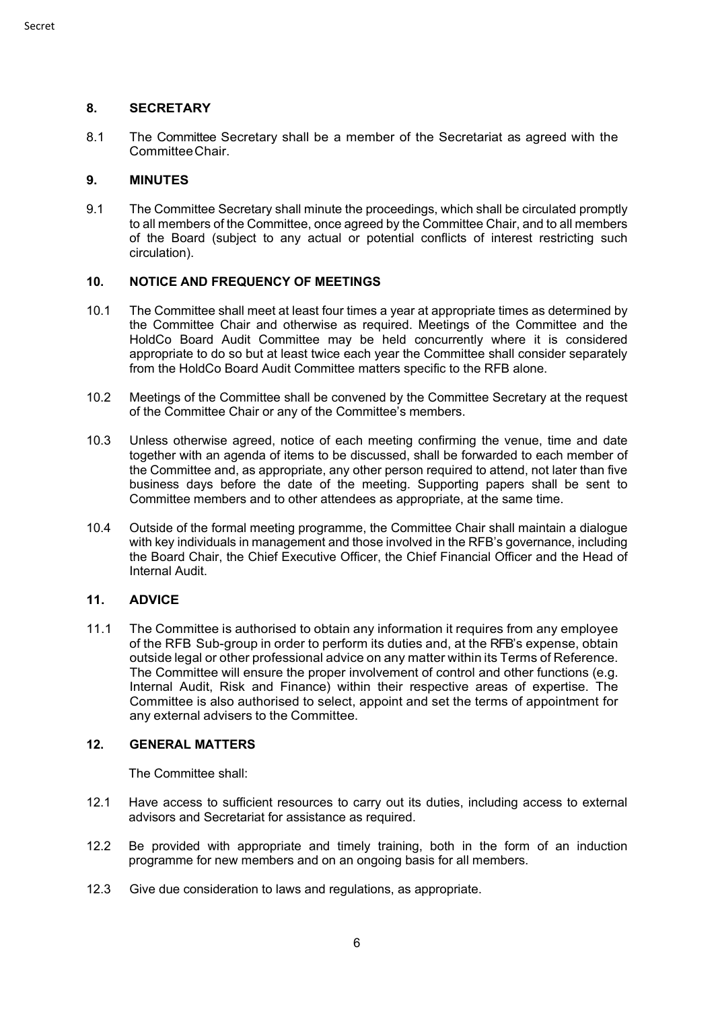## **8. SECRETARY**

8.1 The Committee Secretary shall be a member of the Secretariat as agreed with the CommitteeChair.

### **9. MINUTES**

9.1 The Committee Secretary shall minute the proceedings, which shall be circulated promptly to all members of the Committee, once agreed by the Committee Chair, and to all members of the Board (subject to any actual or potential conflicts of interest restricting such circulation).

### **10. NOTICE AND FREQUENCY OF MEETINGS**

- 10.1 The Committee shall meet at least four times a year at appropriate times as determined by the Committee Chair and otherwise as required. Meetings of the Committee and the HoldCo Board Audit Committee may be held concurrently where it is considered appropriate to do so but at least twice each year the Committee shall consider separately from the HoldCo Board Audit Committee matters specific to the RFB alone.
- 10.2 Meetings of the Committee shall be convened by the Committee Secretary at the request of the Committee Chair or any of the Committee's members.
- 10.3 Unless otherwise agreed, notice of each meeting confirming the venue, time and date together with an agenda of items to be discussed, shall be forwarded to each member of the Committee and, as appropriate, any other person required to attend, not later than five business days before the date of the meeting. Supporting papers shall be sent to Committee members and to other attendees as appropriate, at the same time.
- 10.4 Outside of the formal meeting programme, the Committee Chair shall maintain a dialogue with key individuals in management and those involved in the RFB's governance, including the Board Chair, the Chief Executive Officer, the Chief Financial Officer and the Head of Internal Audit.

## **11. ADVICE**

11.1 The Committee is authorised to obtain any information it requires from any employee of the RFB Sub-group in order to perform its duties and, at the RFB's expense, obtain outside legal or other professional advice on any matter within its Terms of Reference. The Committee will ensure the proper involvement of control and other functions (e.g. Internal Audit, Risk and Finance) within their respective areas of expertise. The Committee is also authorised to select, appoint and set the terms of appointment for any external advisers to the Committee.

#### **12. GENERAL MATTERS**

The Committee shall:

- 12.1 Have access to sufficient resources to carry out its duties, including access to external advisors and Secretariat for assistance as required.
- 12.2 Be provided with appropriate and timely training, both in the form of an induction programme for new members and on an ongoing basis for all members.
- 12.3 Give due consideration to laws and regulations, as appropriate.